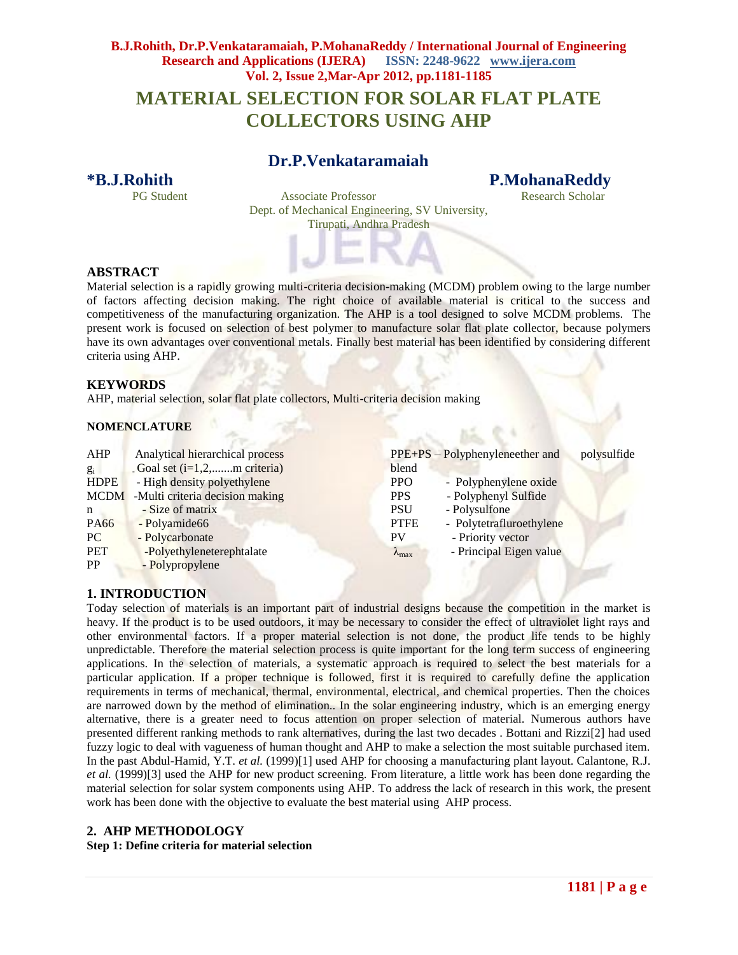## **B.J.Rohith, Dr.P.Venkataramaiah, P.MohanaReddy / International Journal of Engineering Research and Applications (IJERA) ISSN: 2248-9622 www.ijera.com Vol. 2, Issue 2,Mar-Apr 2012, pp.1181-1185 MATERIAL SELECTION FOR SOLAR FLAT PLATE COLLECTORS USING AHP**

# **Dr.P.Venkataramaiah**

**\*B.J.Rohith P.MohanaReddy** Associate Professor Dept. of Mechanical Engineering, SV University, Tirupati, Andhra Pradesh

#### **ABSTRACT**

Material selection is a rapidly growing multi-criteria decision-making (MCDM) problem owing to the large number of factors affecting decision making. The right choice of available material is critical to the success and competitiveness of the manufacturing organization. The AHP is a tool designed to solve MCDM problems. The present work is focused on selection of best polymer to manufacture solar flat plate collector, because polymers have its own advantages over conventional metals. Finally best material has been identified by considering different criteria using AHP.

#### **KEYWORDS**

AHP, material selection, solar flat plate collectors, Multi-criteria decision making

#### **NOMENCLATURE**

| AHP         | Analytical hierarchical process      |                        | PPE+PS – Polyphenyleneether and | polysulfide |
|-------------|--------------------------------------|------------------------|---------------------------------|-------------|
| $g_i$       | . Goal set $(i=1,2,$ m criteria)     | blend                  |                                 |             |
| <b>HDPE</b> | - High density polyethylene          | <b>PPO</b>             | - Polyphenylene oxide           |             |
|             | MCDM -Multi criteria decision making | <b>PPS</b>             | - Polyphenyl Sulfide            |             |
| n           | - Size of matrix                     | <b>PSU</b>             | - Polysulfone                   |             |
| PA66        | - Polyamide66                        | <b>PTFE</b>            | - Polytetrafluroethylene        |             |
| PC          | - Polycarbonate                      | PV                     | - Priority vector               |             |
| <b>PET</b>  | -Polyethyleneterephtalate            | $\lambda_{\text{max}}$ | - Principal Eigen value         |             |
| <b>PP</b>   | - Polypropylene                      |                        |                                 |             |

#### **1. INTRODUCTION**

Today selection of materials is an important part of industrial designs because the competition in the market is heavy. If the product is to be used outdoors, it may be necessary to consider the effect of ultraviolet light rays and other environmental factors. If a proper material selection is not done, the product life tends to be highly unpredictable. Therefore the material selection process is quite important for the long term success of engineering applications. In the selection of materials, a systematic approach is required to select the best materials for a particular application. If a proper technique is followed, first it is required to carefully define the application requirements in terms of mechanical, thermal, environmental, electrical, and chemical properties. Then the choices are narrowed down by the method of elimination.. In the solar engineering industry, which is an emerging energy alternative, there is a greater need to focus attention on proper selection of material. Numerous authors have presented different ranking methods to rank alternatives, during the last two decades . Bottani and Rizzi[2] had used fuzzy logic to deal with vagueness of human thought and AHP to make a selection the most suitable purchased item. In the past Abdul-Hamid, Y.T. *et al.* (1999)[1] used AHP for choosing a manufacturing plant layout. Calantone, R.J. *et al.* (1999)[3] used the AHP for new product screening. From literature, a little work has been done regarding the material selection for solar system components using AHP. To address the lack of research in this work, the present work has been done with the objective to evaluate the best material using AHP process.

#### **2. AHP METHODOLOGY**

#### **Step 1: Define criteria for material selection**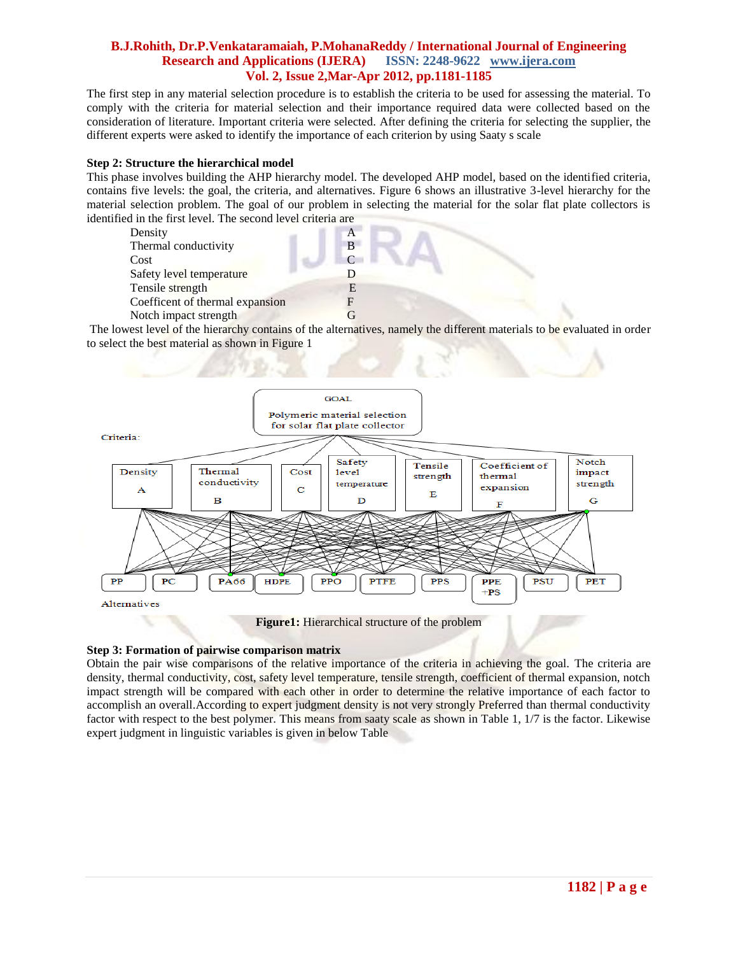### **B.J.Rohith, Dr.P.Venkataramaiah, P.MohanaReddy / International Journal of Engineering Research and Applications (IJERA) ISSN: 2248-9622 www.ijera.com Vol. 2, Issue 2,Mar-Apr 2012, pp.1181-1185**

The first step in any material selection procedure is to establish the criteria to be used for assessing the material. To comply with the criteria for material selection and their importance required data were collected based on the consideration of literature. Important criteria were selected. After defining the criteria for selecting the supplier, the different experts were asked to identify the importance of each criterion by using Saaty s scale

#### **Step 2: Structure the hierarchical model**

This phase involves building the AHP hierarchy model. The developed AHP model, based on the identified criteria, contains five levels: the goal, the criteria, and alternatives. Figure 6 shows an illustrative 3-level hierarchy for the material selection problem. The goal of our problem in selecting the material for the solar flat plate collectors is identified in the first level. The second level criteria are

| Density                         | A |  |
|---------------------------------|---|--|
| Thermal conductivity            | B |  |
| Cost                            |   |  |
| Safety level temperature        |   |  |
| Tensile strength                |   |  |
| Coefficent of thermal expansion |   |  |
| Notch impact strength           |   |  |
|                                 |   |  |

The lowest level of the hierarchy contains of the alternatives, namely the different materials to be evaluated in order to select the best material as shown in Figure 1



**Figure1:** Hierarchical structure of the problem

#### **Step 3: Formation of pairwise comparison matrix**

Obtain the pair wise comparisons of the relative importance of the criteria in achieving the goal. The criteria are density, thermal conductivity, cost, safety level temperature, tensile strength, coefficient of thermal expansion, notch impact strength will be compared with each other in order to determine the relative importance of each factor to accomplish an overall.According to expert judgment density is not very strongly Preferred than thermal conductivity factor with respect to the best polymer. This means from saaty scale as shown in Table 1, 1/7 is the factor. Likewise expert judgment in linguistic variables is given in below Table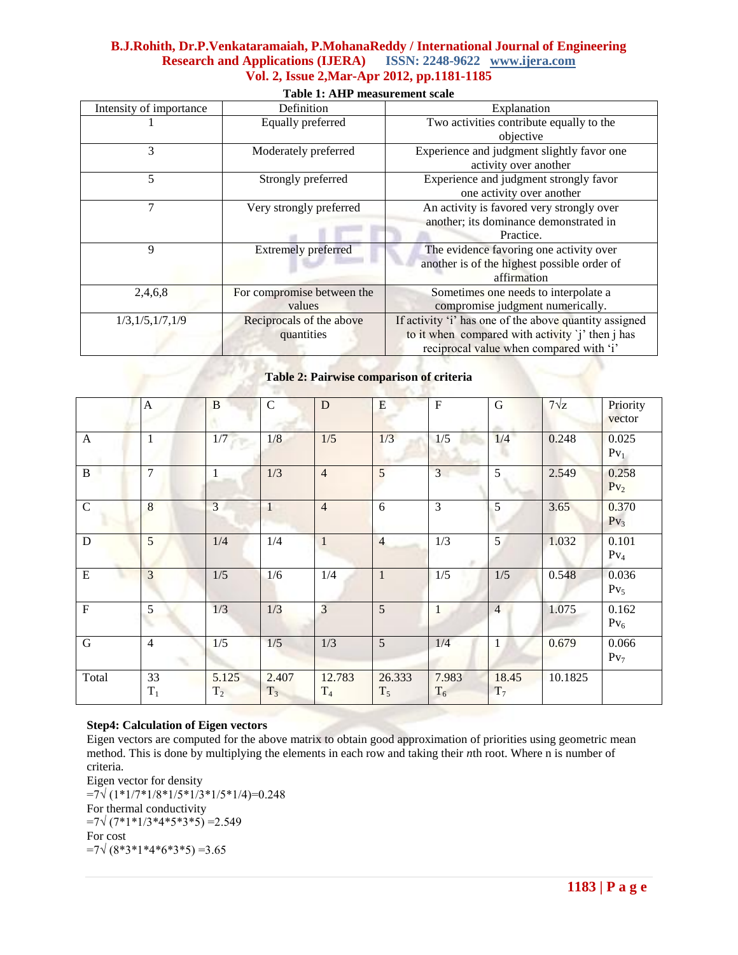## **B.J.Rohith, Dr.P.Venkataramaiah, P.MohanaReddy / International Journal of Engineering Research and Applications (IJERA) ISSN: 2248-9622 www.ijera.com Vol. 2, Issue 2,Mar-Apr 2012, pp.1181-1185**

| Intensity of importance       | Definition                 | Explanation                                            |  |  |
|-------------------------------|----------------------------|--------------------------------------------------------|--|--|
|                               | Equally preferred          | Two activities contribute equally to the               |  |  |
|                               |                            | objective                                              |  |  |
| 3                             | Moderately preferred       | Experience and judgment slightly favor one             |  |  |
|                               |                            | activity over another                                  |  |  |
| 5                             | Strongly preferred         | Experience and judgment strongly favor                 |  |  |
|                               |                            | one activity over another                              |  |  |
| 7                             | Very strongly preferred    | An activity is favored very strongly over              |  |  |
|                               |                            | another; its dominance demonstrated in                 |  |  |
|                               |                            | Practice.                                              |  |  |
| 9                             | Extremely preferred        | The evidence favoring one activity over                |  |  |
|                               |                            | another is of the highest possible order of            |  |  |
|                               |                            | affirmation                                            |  |  |
| 2,4,6,8                       | For compromise between the | Sometimes one needs to interpolate a                   |  |  |
|                               | values                     | compromise judgment numerically.                       |  |  |
| $1/3$ , $1/5$ , $1/7$ , $1/9$ | Reciprocals of the above   | If activity 'i' has one of the above quantity assigned |  |  |
|                               | quantities                 | to it when compared with activity 'j' then j has       |  |  |
|                               |                            | reciprocal value when compared with 'i'                |  |  |

**Table 1: AHP measurement scale**

#### **Table 2: Pairwise comparison of criteria**

|             | $\mathbf{A}$            | B                       | $\mathbf C$    | D               | E               | ${\bf F}$      | $\mathbf G$    | $7\sqrt{z}$ | Priority<br>vector       |
|-------------|-------------------------|-------------------------|----------------|-----------------|-----------------|----------------|----------------|-------------|--------------------------|
| A           | $\mathbf{1}$            | 1/7                     | 1/8            | 1/5             | 1/3             | 1/5            | 1/4            | 0.248       | 0.025<br>$Pv_1$          |
| B           | $7\phantom{.0}$         | 1                       | 1/3            | $\overline{4}$  | 5               | $\overline{3}$ | 5              | 2.549       | 0.258<br>Pv <sub>2</sub> |
| $\mathbf C$ | 8                       | $\overline{3}$          | $\mathbf{1}$   | $\overline{4}$  | 6               | 3              | 5              | 3.65        | 0.370<br>$P_{V_3}$       |
| ${\bf D}$   | 5                       | 1/4                     | 1/4            | $\mathbf{1}$    | $\overline{4}$  | 1/3            | 5              | 1.032       | 0.101<br>$Pv_4$          |
| ${\bf E}$   | $\overline{\mathbf{3}}$ | 1/5                     | 1/6            | 1/4             | $\mathbf{1}$    | 1/5            | $1/5$          | 0.548       | 0.036<br>$Pv_5$          |
| ${\bf F}$   | 5                       | 1/3                     | 1/3            | $\overline{3}$  | $\overline{5}$  | $\mathbf{1}$   | $\overline{4}$ | 1.075       | 0.162<br>$Pv_6$          |
| G           | $\overline{4}$          | 1/5                     | $1/5$          | 1/3             | 5               | 1/4            | 1              | 0.679       | 0.066<br>$Pv_7$          |
| Total       | 33<br>$\mathbf{T}_1$    | 5.125<br>T <sub>2</sub> | 2.407<br>$T_3$ | 12.783<br>$T_4$ | 26.333<br>$T_5$ | 7.983<br>$T_6$ | 18.45<br>$T_7$ | 10.1825     |                          |

#### **Step4: Calculation of Eigen vectors**

Eigen vectors are computed for the above matrix to obtain good approximation of priorities using geometric mean method. This is done by multiplying the elements in each row and taking their *n*th root. Where n is number of criteria.

Eigen vector for density  $=7\sqrt{(1*1/7*1/8*1/5*1/3*1/5*1/4)}=0.248$ For thermal conductivity  $=7\sqrt{(7*1*1/3*4*5*3*5)} = 2.549$ For cost  $=7\sqrt{(8*3*1*4*6*3*5)} = 3.65$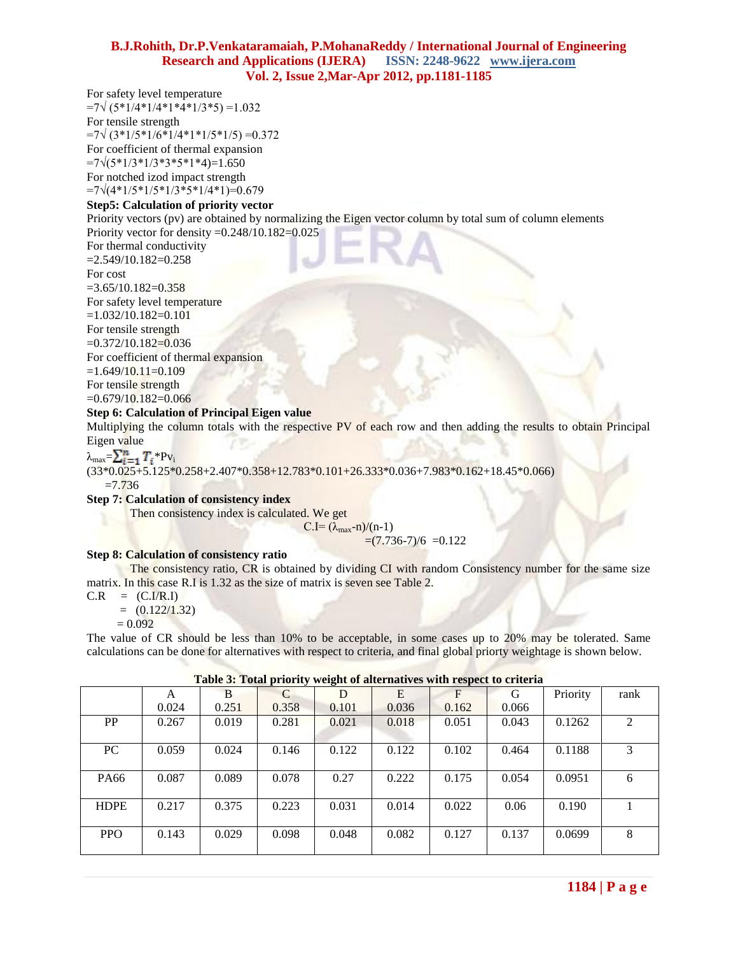### **B.J.Rohith, Dr.P.Venkataramaiah, P.MohanaReddy / International Journal of Engineering Research and Applications (IJERA) ISSN: 2248-9622 www.ijera.com Vol. 2, Issue 2,Mar-Apr 2012, pp.1181-1185**

For safety level temperature

 $=7\sqrt{(5*1/4*1/4*1*4*1/3*5)} = 1.032$ For tensile strength  $=7\sqrt{(3*1/5*1/6*1/4*1*1/5*1/5)} = 0.372$ For coefficient of thermal expansion  $=7\sqrt{(5*1/3*1/3*3*5*1*4)}=1.650$ For notched izod impact strength  $=7\sqrt{(4*1/5*1/5*1/3*5*1/4*1)}=0.679$ 

#### **Step5: Calculation of priority vector**

Priority vectors (pv) are obtained by normalizing the Eigen vector column by total sum of column elements Priority vector for density =0.248/10.182=0.025

For thermal conductivity  $=2.549/10.182=0.258$ For cost  $=3.65/10.182=0.358$ For safety level temperature =1.032/10.182=0.101 For tensile strength  $=0.372/10.182=0.036$ For coefficient of thermal expansion  $=1.649/10.11=0.109$ For tensile strength  $=0.679/10.182=0.066$ 

#### **Step 6: Calculation of Principal Eigen value**

Multiplying the column totals with the respective PV of each row and then adding the results to obtain Principal Eigen value

 $\lambda_{\text{max}} = \sum_{i=1}^{n} T_i^* \text{Pv}_i$ 

(33\*0.025+5.125\*0.258+2.407\*0.358+12.783\*0.101+26.333\*0.036+7.983\*0.162+18.45\*0.066)  $=7.736$ 

**Step 7: Calculation of consistency index**

Then consistency index is calculated. We get

 $C.I=(\lambda_{\text{max}}-n)/(n-1)$  $=(7.736-7)/6$  = 0.122

#### **Step 8: Calculation of consistency ratio**

The consistency ratio, CR is obtained by dividing CI with random Consistency number for the same size matrix. In this case R.I is 1.32 as the size of matrix is seven see Table 2.

 $C.R = (C.I/R.I)$ 

 $= (0.122/1.32)$ 

 $= 0.092$ 

The value of CR should be less than 10% to be acceptable, in some cases up to 20% may be tolerated. Same calculations can be done for alternatives with respect to criteria, and final global priorty weightage is shown below.

| Table 3: Total priority weight of alternatives with respect to criteria |  |  |  |
|-------------------------------------------------------------------------|--|--|--|
|                                                                         |  |  |  |

|             | A     | B     | C     | D     | E     | $\mathbf F$ | G     | Priority | rank |
|-------------|-------|-------|-------|-------|-------|-------------|-------|----------|------|
|             | 0.024 | 0.251 | 0.358 | 0.101 | 0.036 | 0.162       | 0.066 |          |      |
| PP          | 0.267 | 0.019 | 0.281 | 0.021 | 0.018 | 0.051       | 0.043 | 0.1262   | 2    |
|             |       |       |       |       |       |             |       |          |      |
| PC          | 0.059 | 0.024 | 0.146 | 0.122 | 0.122 | 0.102       | 0.464 | 0.1188   | 3    |
|             |       |       |       |       |       |             |       |          |      |
| PA66        | 0.087 | 0.089 | 0.078 | 0.27  | 0.222 | 0.175       | 0.054 | 0.0951   | 6    |
|             |       |       |       |       |       |             |       |          |      |
| <b>HDPE</b> | 0.217 | 0.375 | 0.223 | 0.031 | 0.014 | 0.022       | 0.06  | 0.190    |      |
|             |       |       |       |       |       |             |       |          |      |
| <b>PPO</b>  | 0.143 | 0.029 | 0.098 | 0.048 | 0.082 | 0.127       | 0.137 | 0.0699   | 8    |
|             |       |       |       |       |       |             |       |          |      |